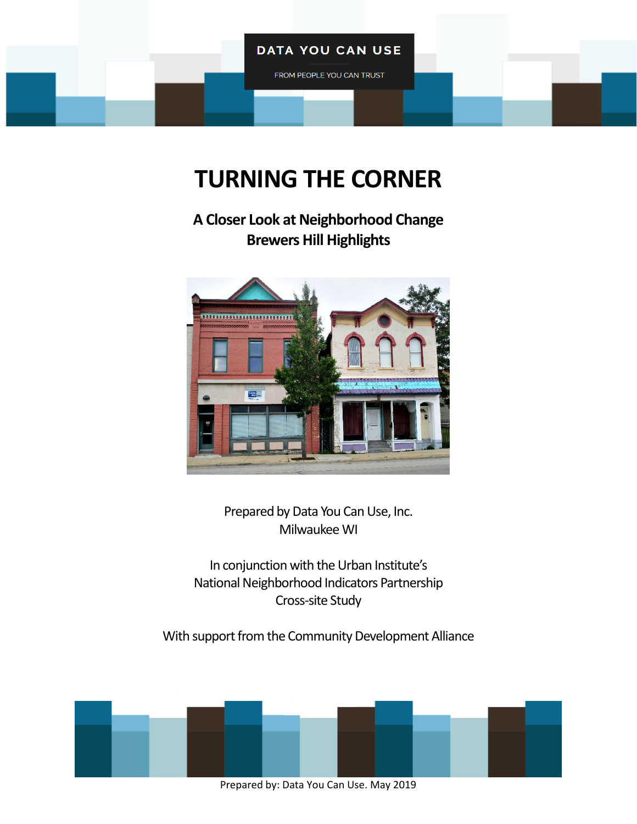## **DATA YOU CAN USE**

FROM PEOPLE YOU CAN TRUST

# **TURNING THE CORNER**

**A Closer Look at Neighborhood Change Brewers Hill Highlights**



Prepared by Data You Can Use, Inc. Milwaukee WI

In conjunction with the Urban Institute's National Neighborhood Indicators Partnership Cross-site Study

With support from the Community Development Alliance

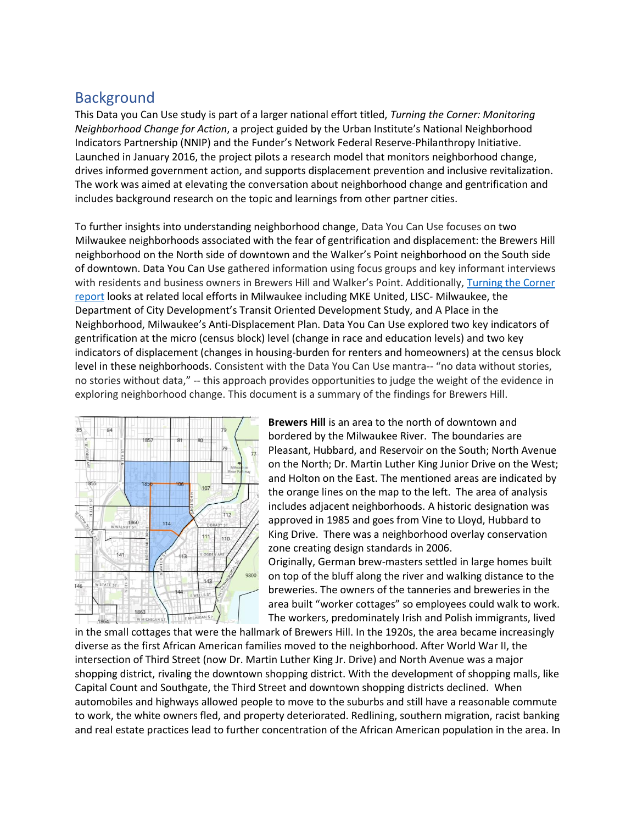# **Background**

This Data you Can Use study is part of a larger national effort titled, *Turning the Corner: Monitoring Neighborhood Change for Action*, a project guided by the Urban Institute's National Neighborhood Indicators Partnership (NNIP) and the Funder's Network Federal Reserve-Philanthropy Initiative. Launched in January 2016, the project pilots a research model that monitors neighborhood change, drives informed government action, and supports displacement prevention and inclusive revitalization. The work was aimed at elevating the conversation about neighborhood change and gentrification and includes background research on the topic and learnings from other partner cities.

To further insights into understanding neighborhood change, Data You Can Use focuses on two Milwaukee neighborhoods associated with the fear of gentrification and displacement: the Brewers Hill neighborhood on the North side of downtown and the Walker's Point neighborhood on the South side of downtown. Data You Can Use gathered information using focus groups and key informant interviews with residents and business owners in Brewers Hill and Walker's Point. Additionally, [Turning the Corner](https://www.datayoucanuse.org/turning-the-corner/)  [report](https://www.datayoucanuse.org/turning-the-corner/) looks at related local efforts in Milwaukee including MKE United, LISC- Milwaukee, the Department of City Development's Transit Oriented Development Study, and A Place in the Neighborhood, Milwaukee's Anti-Displacement Plan. Data You Can Use explored two key indicators of gentrification at the micro (census block) level (change in race and education levels) and two key indicators of displacement (changes in housing-burden for renters and homeowners) at the census block level in these neighborhoods. Consistent with the Data You Can Use mantra-- "no data without stories, no stories without data," -- this approach provides opportunities to judge the weight of the evidence in exploring neighborhood change. This document is a summary of the findings for Brewers Hill.



**Brewers Hill** is an area to the north of downtown and bordered by the Milwaukee River. The boundaries are Pleasant, Hubbard, and Reservoir on the South; North Avenue on the North; Dr. Martin Luther King Junior Drive on the West; and Holton on the East. The mentioned areas are indicated by the orange lines on the map to the left. The area of analysis includes adjacent neighborhoods. A historic designation was approved in 1985 and goes from Vine to Lloyd, Hubbard to King Drive. There was a neighborhood overlay conservation zone creating design standards in 2006.

Originally, German brew-masters settled in large homes built on top of the bluff along the river and walking distance to the breweries. The owners of the tanneries and breweries in the area built "worker cottages" so employees could walk to work. The workers, predominately Irish and Polish immigrants, lived

in the small cottages that were the hallmark of Brewers Hill. In the 1920s, the area became increasingly diverse as the first African American families moved to the neighborhood. After World War II, the intersection of Third Street (now Dr. Martin Luther King Jr. Drive) and North Avenue was a major shopping district, rivaling the downtown shopping district. With the development of shopping malls, like Capital Count and Southgate, the Third Street and downtown shopping districts declined. When automobiles and highways allowed people to move to the suburbs and still have a reasonable commute to work, the white owners fled, and property deteriorated. Redlining, southern migration, racist banking and real estate practices lead to further concentration of the African American population in the area. In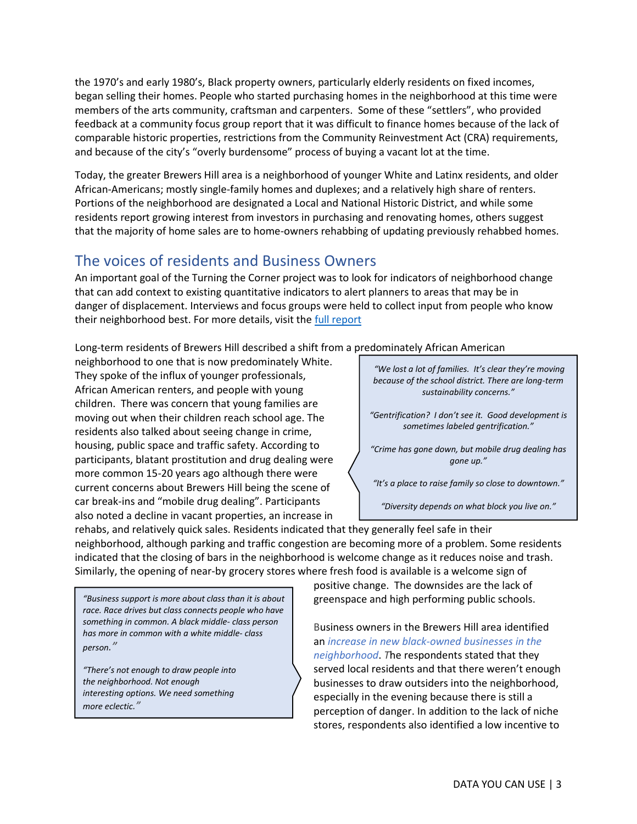the 1970's and early 1980's, Black property owners, particularly elderly residents on fixed incomes, began selling their homes. People who started purchasing homes in the neighborhood at this time were members of the arts community, craftsman and carpenters. Some of these "settlers", who provided feedback at a community focus group report that it was difficult to finance homes because of the lack of comparable historic properties, restrictions from the Community Reinvestment Act (CRA) requirements, and because of the city's "overly burdensome" process of buying a vacant lot at the time.

Today, the greater Brewers Hill area is a neighborhood of younger White and Latinx residents, and older African-Americans; mostly single-family homes and duplexes; and a relatively high share of renters. Portions of the neighborhood are designated a Local and National Historic District, and while some residents report growing interest from investors in purchasing and renovating homes, others suggest that the majority of home sales are to home-owners rehabbing of updating previously rehabbed homes.

## The voices of residents and Business Owners

An important goal of the Turning the Corner project was to look for indicators of neighborhood change that can add context to existing quantitative indicators to alert planners to areas that may be in danger of displacement. Interviews and focus groups were held to collect input from people who know their neighborhood best. For more details, visit the [full report](https://www.datayoucanuse.org/wp-content/uploads/dlm_uploads/2019/04/Turning-the-Corner-Full-Report.pdf)

Long-term residents of Brewers Hill described a shift from a predominately African American

neighborhood to one that is now predominately White. They spoke of the influx of younger professionals, African American renters, and people with young children. There was concern that young families are moving out when their children reach school age. The residents also talked about seeing change in crime, housing, public space and traffic safety. According to participants, blatant prostitution and drug dealing were more common 15-20 years ago although there were current concerns about Brewers Hill being the scene of car break-ins and "mobile drug dealing". Participants also noted a decline in vacant properties, an increase in

*"We lost a lot of families. It's clear they're moving because of the school district. There are long-term sustainability concerns."*

*"Gentrification? I don't see it. Good development is sometimes labeled gentrification."*

*"Crime has gone down, but mobile drug dealing has gone up."*

*"It's a place to raise family so close to downtown."*

*"Diversity depends on what block you live on."*

rehabs, and relatively quick sales. Residents indicated that they generally feel safe in their neighborhood, although parking and traffic congestion are becoming more of a problem. Some residents indicated that the closing of bars in the neighborhood is welcome change as it reduces noise and trash. Similarly, the opening of near-by grocery stores where fresh food is available is a welcome sign of

*"Business support is more about class than it is about race. Race drives but class connects people who have something in common. A black middle- class person has more in common with a white middle- class person."*

*"There's not enough to draw people into the neighborhood. Not enough interesting options. We need something more eclectic."*

positive change. The downsides are the lack of greenspace and high performing public schools.

Business owners in the Brewers Hill area identified an *increase in new black-owned businesses in the neighborhood*. *T*he respondents stated that they served local residents and that there weren't enough businesses to draw outsiders into the neighborhood, especially in the evening because there is still a perception of danger. In addition to the lack of niche stores, respondents also identified a low incentive to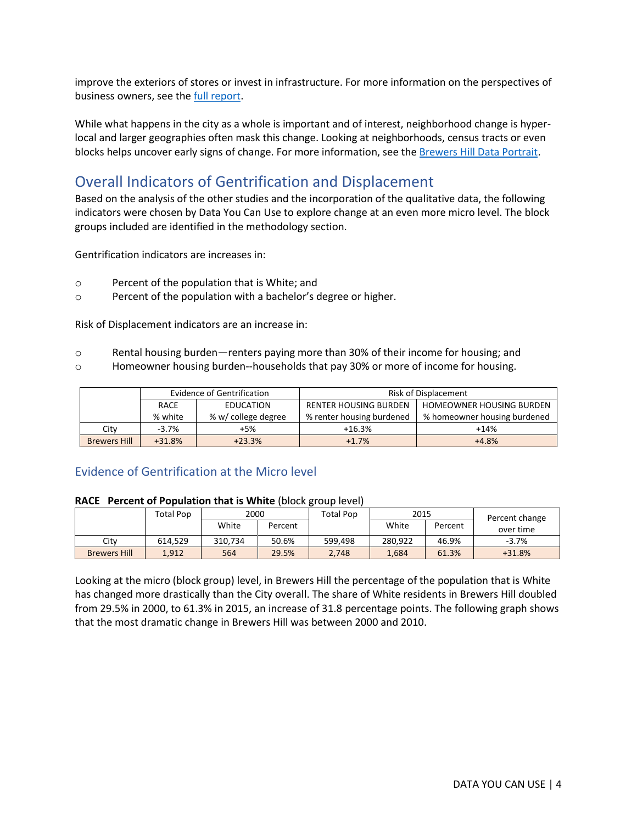improve the exteriors of stores or invest in infrastructure. For more information on the perspectives of business owners, see the [full report.](https://www.datayoucanuse.org/wp-content/uploads/dlm_uploads/2019/04/Turning-the-Corner-Full-Report.pdf)

While what happens in the city as a whole is important and of interest, neighborhood change is hyperlocal and larger geographies often mask this change. Looking at neighborhoods, census tracts or even blocks helps uncover early signs of change. For more information, see the [Brewers Hill Data Portrait.](http://www.datayoucanuse.org/wp-content/uploads/2019/02/Brewers-Hill-Neighborhood-Portrait.pdf)

# Overall Indicators of Gentrification and Displacement

Based on the analysis of the other studies and the incorporation of the qualitative data, the following indicators were chosen by Data You Can Use to explore change at an even more micro level. The block groups included are identified in the methodology section.

Gentrification indicators are increases in:

- o Percent of the population that is White; and
- o Percent of the population with a bachelor's degree or higher.

Risk of Displacement indicators are an increase in:

- o Rental housing burden—renters paying more than 30% of their income for housing; and
- o Homeowner housing burden--households that pay 30% or more of income for housing.

|                     |                                                     | Evidence of Gentrification | <b>Risk of Displacement</b>  |                                 |  |  |  |
|---------------------|-----------------------------------------------------|----------------------------|------------------------------|---------------------------------|--|--|--|
|                     | EDUCATION<br>RACE<br>% white<br>% w/ college degree |                            | <b>RENTER HOUSING BURDEN</b> | <b>HOMEOWNER HOUSING BURDEN</b> |  |  |  |
|                     |                                                     |                            | % renter housing burdened    | % homeowner housing burdened    |  |  |  |
| City                | $-3.7%$                                             | +5%                        | $+16.3%$                     | $+14%$                          |  |  |  |
| <b>Brewers Hill</b> | $+31.8%$                                            | $+23.3%$                   | $+1.7%$                      | $+4.8%$                         |  |  |  |

## Evidence of Gentrification at the Micro level

#### **RACE Percent of Population that is White** (block group level)

|                     | Total Pop | 2000    |         | Total Pop | 2015    |         | Percent change |
|---------------------|-----------|---------|---------|-----------|---------|---------|----------------|
|                     |           | White   | Percent |           | White   | Percent | over time      |
| Citv                | 614.529   | 310.734 | 50.6%   | 599.498   | 280.922 | 46.9%   | $-3.7%$        |
| <b>Brewers Hill</b> | 1.912     | 564     | 29.5%   | 2.748     | 1.684   | 61.3%   | $+31.8%$       |

Looking at the micro (block group) level, in Brewers Hill the percentage of the population that is White has changed more drastically than the City overall. The share of White residents in Brewers Hill doubled from 29.5% in 2000, to 61.3% in 2015, an increase of 31.8 percentage points. The following graph shows that the most dramatic change in Brewers Hill was between 2000 and 2010.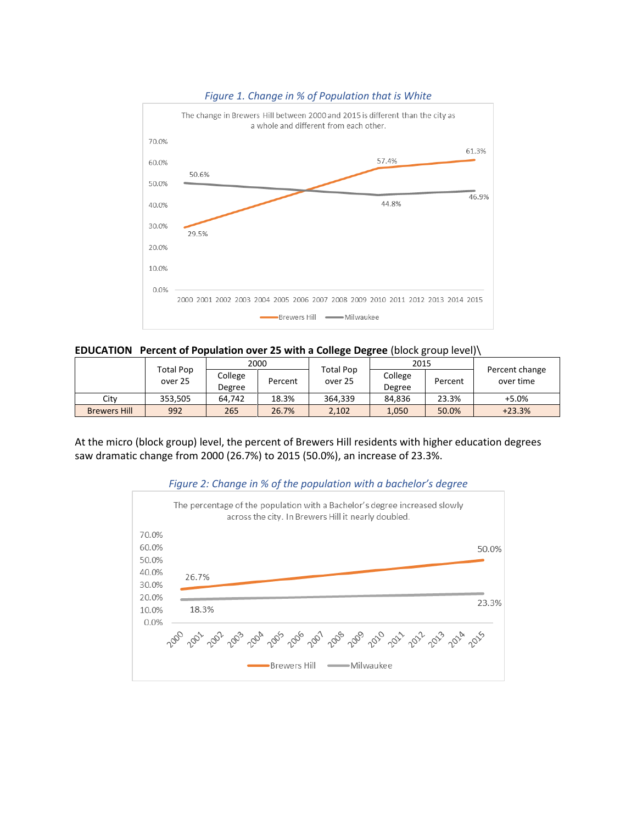

#### *Figure 1. Change in % of Population that is White*



|                      |         | 2000              |         | Total Pop | 2015              |         |                             |
|----------------------|---------|-------------------|---------|-----------|-------------------|---------|-----------------------------|
| Total Pop<br>over 25 |         | College<br>Degree | Percent | over 25   | College<br>Degree | Percent | Percent change<br>over time |
| Citv                 | 353.505 | 64.742            | 18.3%   | 364.339   | 84.836            | 23.3%   | $+5.0%$                     |
| <b>Brewers Hill</b>  | 992     | 265               | 26.7%   | 2,102     | 1.050             | 50.0%   | $+23.3%$                    |

At the micro (block group) level, the percent of Brewers Hill residents with higher education degrees saw dramatic change from 2000 (26.7%) to 2015 (50.0%), an increase of 23.3%.



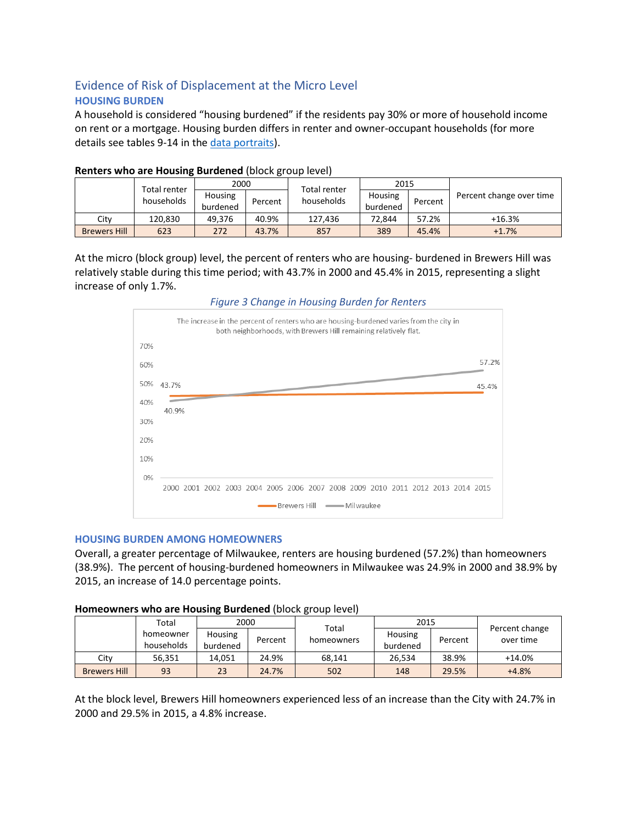## Evidence of Risk of Displacement at the Micro Level **HOUSING BURDEN**

A household is considered "housing burdened" if the residents pay 30% or more of household income on rent or a mortgage. Housing burden differs in renter and owner-occupant households (for more details see tables 9-14 in the [data portraits\)](http://www.datayoucanuse.org/wp-content/uploads/2019/02/Brewers-Hill-Neighborhood-Portrait.pdf).

|                     | Total renter<br>households | 2000                |         | <b>Total renter</b> | 2015                |         |                          |
|---------------------|----------------------------|---------------------|---------|---------------------|---------------------|---------|--------------------------|
|                     |                            | Housing<br>burdened | Percent | households          | Housing<br>burdened | Percent | Percent change over time |
| City                | 120.830                    | 49.376              | 40.9%   | 127.436             | 72.844              | 57.2%   | $+16.3%$                 |
| <b>Brewers Hill</b> | 623                        | 272                 | 43.7%   | 857                 | 389                 | 45.4%   | $+1.7%$                  |

## **Renters who are Housing Burdened** (block group level)

At the micro (block group) level, the percent of renters who are housing- burdened in Brewers Hill was relatively stable during this time period; with 43.7% in 2000 and 45.4% in 2015, representing a slight increase of only 1.7%.



## *Figure 3 Change in Housing Burden for Renters*

#### **HOUSING BURDEN AMONG HOMEOWNERS**

Overall, a greater percentage of Milwaukee, renters are housing burdened (57.2%) than homeowners (38.9%). The percent of housing-burdened homeowners in Milwaukee was 24.9% in 2000 and 38.9% by 2015, an increase of 14.0 percentage points.

### **Homeowners who are Housing Burdened** (block group level)

|                     | Total                   | 2000                       |         |                     | 2015                |         |                             |
|---------------------|-------------------------|----------------------------|---------|---------------------|---------------------|---------|-----------------------------|
|                     | homeowner<br>households | <b>Housing</b><br>burdened | Percent | Total<br>homeowners | Housing<br>burdened | Percent | Percent change<br>over time |
| City                | 56.351                  | 14.051                     | 24.9%   | 68.141              | 26.534              | 38.9%   | $+14.0%$                    |
| <b>Brewers Hill</b> | 93                      | 23                         | 24.7%   | 502                 | 148                 | 29.5%   | $+4.8%$                     |

At the block level, Brewers Hill homeowners experienced less of an increase than the City with 24.7% in 2000 and 29.5% in 2015, a 4.8% increase.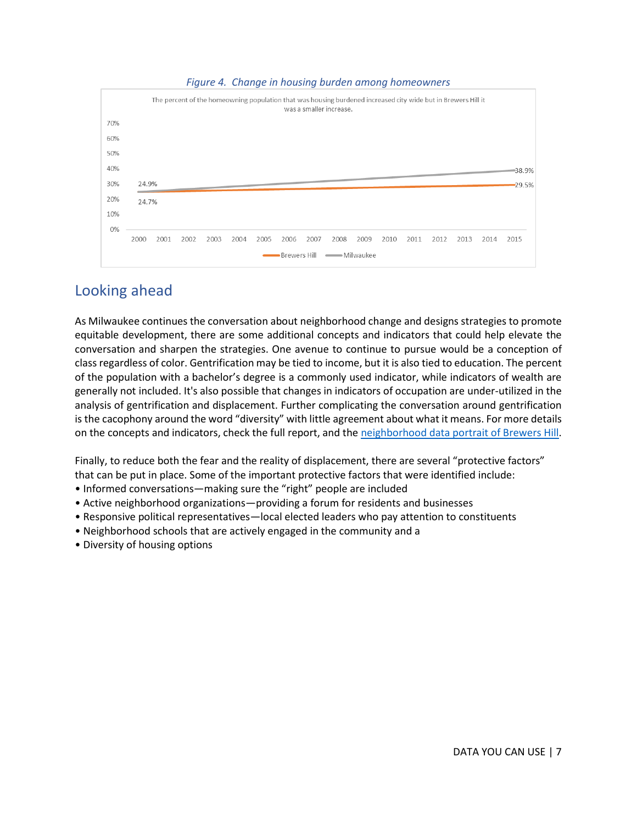#### *Figure 4. Change in housing burden among homeowners*



## Looking ahead

As Milwaukee continues the conversation about neighborhood change and designs strategies to promote equitable development, there are some additional concepts and indicators that could help elevate the conversation and sharpen the strategies. One avenue to continue to pursue would be a conception of class regardless of color. Gentrification may be tied to income, but it is also tied to education. The percent of the population with a bachelor's degree is a commonly used indicator, while indicators of wealth are generally not included. It's also possible that changes in indicators of occupation are under-utilized in the analysis of gentrification and displacement. Further complicating the conversation around gentrification is the cacophony around the word "diversity" with little agreement about what it means. For more details on the concepts and indicators, check the full report, and the neighborhood data [portrait of Brewers Hill.](http://www.datayoucanuse.org/wp-content/uploads/2019/02/Brewers-Hill-Neighborhood-Portrait.pdf)

Finally, to reduce both the fear and the reality of displacement, there are several "protective factors" that can be put in place. Some of the important protective factors that were identified include:

- Informed conversations—making sure the "right" people are included
- Active neighborhood organizations—providing a forum for residents and businesses
- Responsive political representatives—local elected leaders who pay attention to constituents
- Neighborhood schools that are actively engaged in the community and a
- Diversity of housing options